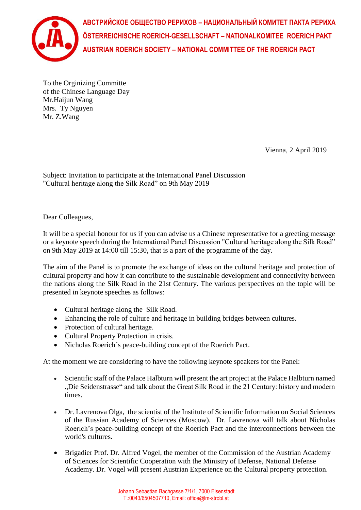

**АВСТРИЙСКОЕ ОБЩЕСТВО РЕРИХОВ – НАЦИОНАЛЬНЫЙ КОМИТЕТ ПАКТА РЕРИХА ÖSTERREICHISCHE ROERICH-GESELLSCHAFT – NATIONALKOMITEE ROERICH PAKT AUSTRIAN ROERICH SOCIETY – NATIONAL COMMITTEE OF THE ROERICH PACT**

To the Orginizing Committe of the Chinese Language Day Mr.Haijun Wang Mrs. Ty Nguyen Mr. Z.Wang

Vienna, 2 April 2019

Subject: Invitation to participate at the International Panel Discussion "Cultural heritage along the Silk Road" on 9th May 2019

Dear Colleagues,

It will be a special honour for us if you can advise us a Chinese representative for a greeting message or a keynote speech during the International Panel Discussion "Cultural heritage along the Silk Road" on 9th May 2019 at 14:00 till 15:30, that is a part of the programme of the day.

The aim of the Panel is to promote the exchange of ideas on the cultural heritage and protection of cultural property and how it can contribute to the sustainable development and connectivity between the nations along the Silk Road in the 21st Century. The various perspectives on the topic will be presented in keynote speeches as follows:

- Cultural heritage along the Silk Road.
- Enhancing the role of culture and heritage in building bridges between cultures.
- Protection of cultural heritage.
- Cultural Property Protection in crisis.
- Nicholas Roerich´s peace-building concept of the Roerich Pact.

At the moment we are considering to have the following keynote speakers for the Panel:

- Scientific staff of the Palace Halbturn will present the art project at the Palace Halbturn named "Die Seidenstrasse" and talk about the Great Silk Road in the 21 Century: history and modern times.
- Dr. Lavrenova Olga, the scientist of the Institute of Scientific Information on Social Sciences of the Russian Academy of Sciences (Moscow). Dr. Lavrenova will talk about Nicholas Roerich's peace-building concept of the Roerich Pact and the interconnections between the world's cultures.
- Brigadier Prof. Dr. Alfred Vogel, the member of the Commission of the Austrian Academy of Sciences for Scientific Cooperation with the Ministry of Defense, National Defense Academy. Dr. Vogel will present Austrian Experience on the Cultural property protection.